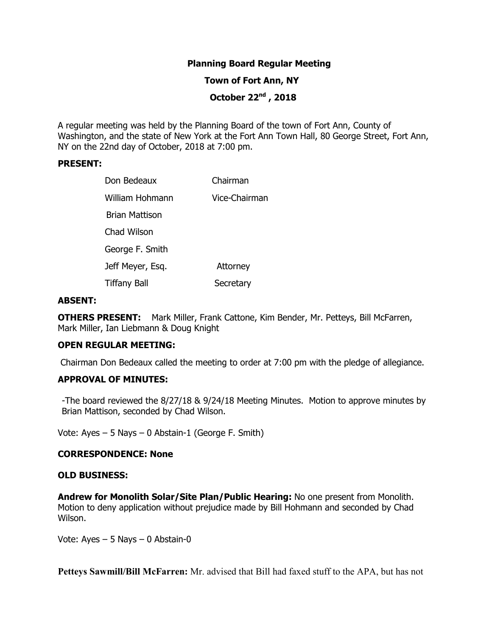# **Planning Board Regular Meeting**

## **Town of Fort Ann, NY**

 **October 22nd , 2018**

A regular meeting was held by the Planning Board of the town of Fort Ann, County of Washington, and the state of New York at the Fort Ann Town Hall, 80 George Street, Fort Ann, NY on the 22nd day of October, 2018 at 7:00 pm.

#### **PRESENT:**

| Don Bedeaux           | Chairman      |
|-----------------------|---------------|
| William Hohmann       | Vice-Chairman |
| <b>Brian Mattison</b> |               |
| Chad Wilson           |               |
| George F. Smith       |               |
| Jeff Meyer, Esq.      | Attorney      |
| <b>Tiffany Ball</b>   | Secretary     |

#### **ABSENT:**

**OTHERS PRESENT:** Mark Miller, Frank Cattone, Kim Bender, Mr. Petteys, Bill McFarren, Mark Miller, Ian Liebmann & Doug Knight

#### **OPEN REGULAR MEETING:**

Chairman Don Bedeaux called the meeting to order at 7:00 pm with the pledge of allegiance.

## **APPROVAL OF MINUTES:**

-The board reviewed the 8/27/18 & 9/24/18 Meeting Minutes. Motion to approve minutes by Brian Mattison, seconded by Chad Wilson.

Vote: Ayes – 5 Nays – 0 Abstain-1 (George F. Smith)

## **CORRESPONDENCE: None**

#### **OLD BUSINESS:**

**Andrew for Monolith Solar/Site Plan/Public Hearing:** No one present from Monolith. Motion to deny application without prejudice made by Bill Hohmann and seconded by Chad Wilson.

Vote: Ayes – 5 Nays – 0 Abstain-0

**Petteys Sawmill/Bill McFarren:** Mr. advised that Bill had faxed stuff to the APA, but has not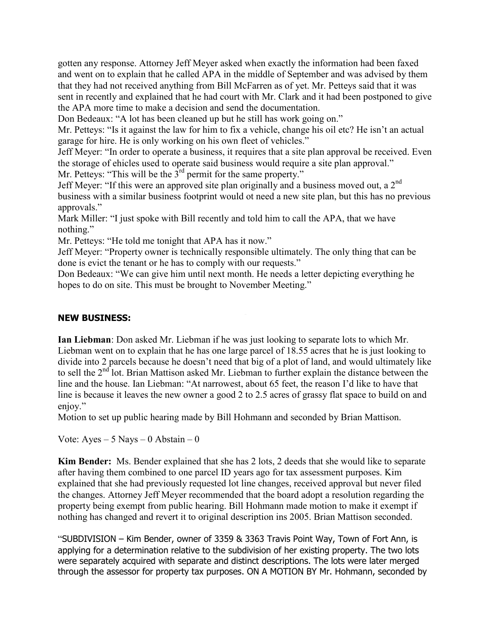gotten any response. Attorney Jeff Meyer asked when exactly the information had been faxed and went on to explain that he called APA in the middle of September and was advised by them that they had not received anything from Bill McFarren as of yet. Mr. Petteys said that it was sent in recently and explained that he had court with Mr. Clark and it had been postponed to give the APA more time to make a decision and send the documentation.

Don Bedeaux: "A lot has been cleaned up but he still has work going on."

Mr. Petteys: "Is it against the law for him to fix a vehicle, change his oil etc? He isn't an actual garage for hire. He is only working on his own fleet of vehicles."

Jeff Meyer: "In order to operate a business, it requires that a site plan approval be received. Even the storage of ehicles used to operate said business would require a site plan approval." Mr. Petteys: "This will be the  $3<sup>rd</sup>$  permit for the same property."

Jeff Meyer: "If this were an approved site plan originally and a business moved out, a  $2<sup>nd</sup>$ business with a similar business footprint would ot need a new site plan, but this has no previous approvals."

Mark Miller: "I just spoke with Bill recently and told him to call the APA, that we have nothing."

Mr. Petteys: "He told me tonight that APA has it now."

Jeff Meyer: "Property owner is technically responsible ultimately. The only thing that can be done is evict the tenant or he has to comply with our requests."

Don Bedeaux: "We can give him until next month. He needs a letter depicting everything he hopes to do on site. This must be brought to November Meeting."

# **NEW BUSINESS:**

**Ian Liebman**: Don asked Mr. Liebman if he was just looking to separate lots to which Mr. Liebman went on to explain that he has one large parcel of 18.55 acres that he is just looking to divide into 2 parcels because he doesn't need that big of a plot of land, and would ultimately like to sell the 2<sup>nd</sup> lot. Brian Mattison asked Mr. Liebman to further explain the distance between the line and the house. Ian Liebman: "At narrowest, about 65 feet, the reason I'd like to have that line is because it leaves the new owner a good 2 to 2.5 acres of grassy flat space to build on and enjoy."

Motion to set up public hearing made by Bill Hohmann and seconded by Brian Mattison.

Vote: Ayes – 5 Nays – 0 Abstain – 0

**Kim Bender:** Ms. Bender explained that she has 2 lots, 2 deeds that she would like to separate after having them combined to one parcel ID years ago for tax assessment purposes. Kim explained that she had previously requested lot line changes, received approval but never filed the changes. Attorney Jeff Meyer recommended that the board adopt a resolution regarding the property being exempt from public hearing. Bill Hohmann made motion to make it exempt if nothing has changed and revert it to original description ins 2005. Brian Mattison seconded.

"SUBDIVISION – Kim Bender, owner of 3359 & 3363 Travis Point Way, Town of Fort Ann, is applying for a determination relative to the subdivision of her existing property. The two lots were separately acquired with separate and distinct descriptions. The lots were later merged through the assessor for property tax purposes. ON A MOTION BY Mr. Hohmann, seconded by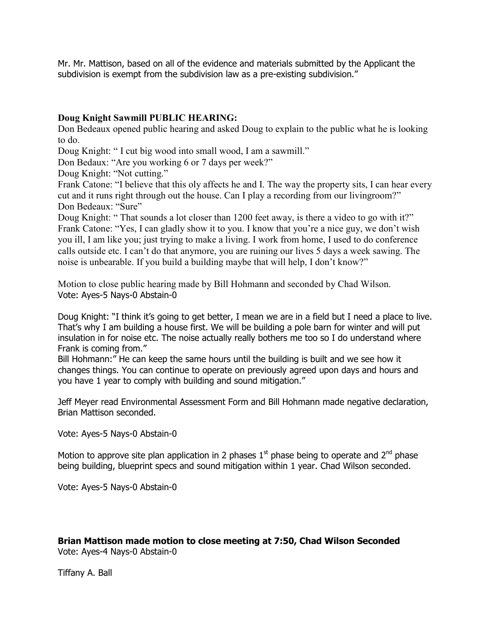Mr. Mr. Mattison, based on all of the evidence and materials submitted by the Applicant the subdivision is exempt from the subdivision law as a pre-existing subdivision."

# **Doug Knight Sawmill PUBLIC HEARING:**

Don Bedeaux opened public hearing and asked Doug to explain to the public what he is looking to do.

Doug Knight: " I cut big wood into small wood, I am a sawmill."

Don Bedaux: "Are you working 6 or 7 days per week?"

Doug Knight: "Not cutting."

Frank Catone: "I believe that this oly affects he and I. The way the property sits, I can hear every cut and it runs right through out the house. Can I play a recording from our livingroom?" Don Bedeaux: "Sure"

Doug Knight: " That sounds a lot closer than 1200 feet away, is there a video to go with it?" Frank Catone: "Yes, I can gladly show it to you. I know that you're a nice guy, we don't wish you ill, I am like you; just trying to make a living. I work from home, I used to do conference calls outside etc. I can't do that anymore, you are ruining our lives 5 days a week sawing. The noise is unbearable. If you build a building maybe that will help, I don't know?"

Motion to close public hearing made by Bill Hohmann and seconded by Chad Wilson. Vote: Ayes-5 Nays-0 Abstain-0

Doug Knight: "I think it's going to get better, I mean we are in a field but I need a place to live. That's why I am building a house first. We will be building a pole barn for winter and will put insulation in for noise etc. The noise actually really bothers me too so I do understand where Frank is coming from."

Bill Hohmann:" He can keep the same hours until the building is built and we see how it changes things. You can continue to operate on previously agreed upon days and hours and you have 1 year to comply with building and sound mitigation."

Jeff Meyer read Environmental Assessment Form and Bill Hohmann made negative declaration, Brian Mattison seconded.

Vote: Ayes-5 Nays-0 Abstain-0

Motion to approve site plan application in 2 phases  $1<sup>st</sup>$  phase being to operate and  $2<sup>nd</sup>$  phase being building, blueprint specs and sound mitigation within 1 year. Chad Wilson seconded.

Vote: Ayes-5 Nays-0 Abstain-0

# **Brian Mattison made motion to close meeting at 7:50, Chad Wilson Seconded**

Vote: Ayes-4 Nays-0 Abstain-0

Tiffany A. Ball